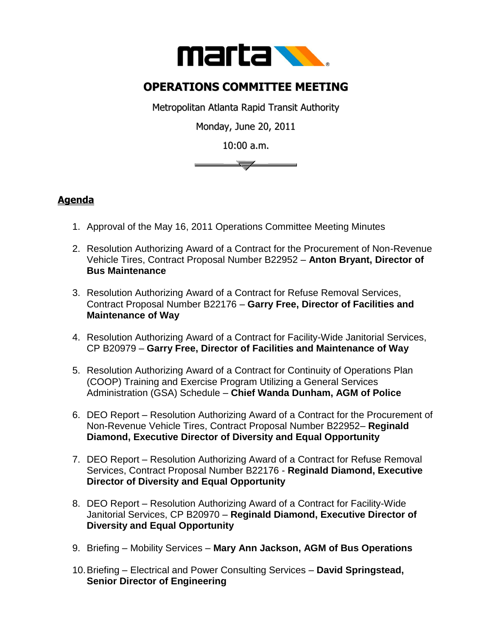

## **OPERATIONS COMMITTEE MEETING**

Metropolitan Atlanta Rapid Transit Authority

Monday, June 20, 2011

10:00 a.m.



## **Agenda**

- 1. Approval of the May 16, 2011 Operations Committee Meeting Minutes
- 2. Resolution Authorizing Award of a Contract for the Procurement of Non-Revenue Vehicle Tires, Contract Proposal Number B22952 – **Anton Bryant, Director of Bus Maintenance**
- 3. Resolution Authorizing Award of a Contract for Refuse Removal Services, Contract Proposal Number B22176 – **Garry Free, Director of Facilities and Maintenance of Way**
- 4. Resolution Authorizing Award of a Contract for Facility-Wide Janitorial Services, CP B20979 – **Garry Free, Director of Facilities and Maintenance of Way**
- 5. Resolution Authorizing Award of a Contract for Continuity of Operations Plan (COOP) Training and Exercise Program Utilizing a General Services Administration (GSA) Schedule – **Chief Wanda Dunham, AGM of Police**
- 6. DEO Report Resolution Authorizing Award of a Contract for the Procurement of Non-Revenue Vehicle Tires, Contract Proposal Number B22952– **Reginald Diamond, Executive Director of Diversity and Equal Opportunity**
- 7. DEO Report Resolution Authorizing Award of a Contract for Refuse Removal Services, Contract Proposal Number B22176 - **Reginald Diamond, Executive Director of Diversity and Equal Opportunity**
- 8. DEO Report Resolution Authorizing Award of a Contract for Facility-Wide Janitorial Services, CP B20970 – **Reginald Diamond, Executive Director of Diversity and Equal Opportunity**
- 9. Briefing Mobility Services **Mary Ann Jackson, AGM of Bus Operations**
- 10.Briefing Electrical and Power Consulting Services **David Springstead, Senior Director of Engineering**